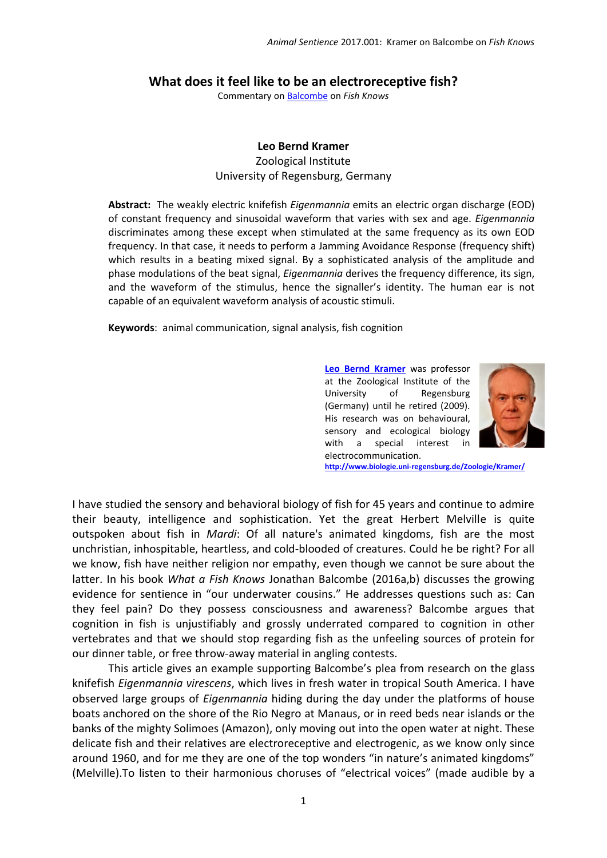## **What does it feel like to be an electroreceptive fish?**

Commentary o[n Balcombe](http://animalstudiesrepository.org/animsent/vol1/iss8/1) on *Fish Knows*

## **Leo Bernd Kramer**

Zoological Institute University of Regensburg, Germany

**Abstract:** The weakly electric knifefish *Eigenmannia* emits an electric organ discharge (EOD) of constant frequency and sinusoidal waveform that varies with sex and age. *Eigenmannia* discriminates among these except when stimulated at the same frequency as its own EOD frequency. In that case, it needs to perform a Jamming Avoidance Response (frequency shift) which results in a beating mixed signal. By a sophisticated analysis of the amplitude and phase modulations of the beat signal, *Eigenmannia* derives the frequency difference, its sign, and the waveform of the stimulus, hence the signaller's identity. The human ear is not capable of an equivalent waveform analysis of acoustic stimuli.

**Keywords**: animal communication, signal analysis, fish cognition

**[Leo Bernd Kramer](mailto:bernd.kramer@ur.de)** was professor at the Zoological Institute of the University of Regensburg (Germany) until he retired (2009). His research was on behavioural, sensory and ecological biology with a special interest in electrocommunication.



**<http://www.biologie.uni-regensburg.de/Zoologie/Kramer/>**

I have studied the sensory and behavioral biology of fish for 45 years and continue to admire their beauty, intelligence and sophistication. Yet the great Herbert Melville is quite outspoken about fish in *Mardi*: Of all nature's animated kingdoms, fish are the most unchristian, inhospitable, heartless, and cold-blooded of creatures. Could he be right? For all we know, fish have neither religion nor empathy, even though we cannot be sure about the latter. In his book *What a Fish Knows* Jonathan Balcombe (2016a,b) discusses the growing evidence for sentience in "our underwater cousins." He addresses questions such as: Can they feel pain? Do they possess consciousness and awareness? Balcombe argues that cognition in fish is unjustifiably and grossly underrated compared to cognition in other vertebrates and that we should stop regarding fish as the unfeeling sources of protein for our dinner table, or free throw-away material in angling contests.

This article gives an example supporting Balcombe's plea from research on the glass knifefish *Eigenmannia virescens*, which lives in fresh water in tropical South America. I have observed large groups of *Eigenmannia* hiding during the day under the platforms of house boats anchored on the shore of the Rio Negro at Manaus, or in reed beds near islands or the banks of the mighty Solimoes (Amazon), only moving out into the open water at night. These delicate fish and their relatives are electroreceptive and electrogenic, as we know only since around 1960, and for me they are one of the top wonders "in nature's animated kingdoms" (Melville).To listen to their harmonious choruses of "electrical voices" (made audible by a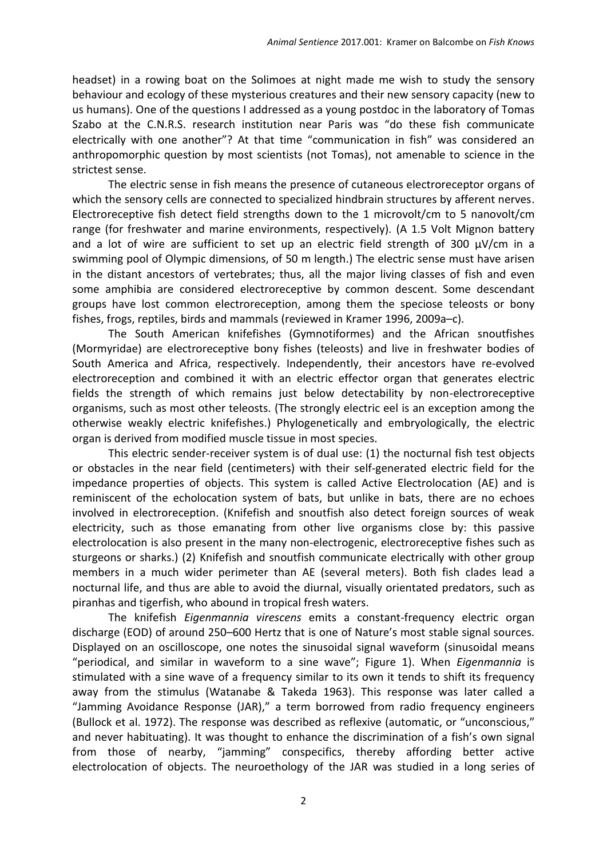headset) in a rowing boat on the Solimoes at night made me wish to study the sensory behaviour and ecology of these mysterious creatures and their new sensory capacity (new to us humans). One of the questions I addressed as a young postdoc in the laboratory of Tomas Szabo at the C.N.R.S. research institution near Paris was "do these fish communicate electrically with one another"? At that time "communication in fish" was considered an anthropomorphic question by most scientists (not Tomas), not amenable to science in the strictest sense.

The electric sense in fish means the presence of cutaneous electroreceptor organs of which the sensory cells are connected to specialized hindbrain structures by afferent nerves. Electroreceptive fish detect field strengths down to the 1 microvolt/cm to 5 nanovolt/cm range (for freshwater and marine environments, respectively). (A 1.5 Volt Mignon battery and a lot of wire are sufficient to set up an electric field strength of 300  $\mu$ V/cm in a swimming pool of Olympic dimensions, of 50 m length.) The electric sense must have arisen in the distant ancestors of vertebrates; thus, all the major living classes of fish and even some amphibia are considered electroreceptive by common descent. Some descendant groups have lost common electroreception, among them the speciose teleosts or bony fishes, frogs, reptiles, birds and mammals (reviewed in Kramer 1996, 2009a–c).

The South American knifefishes (Gymnotiformes) and the African snoutfishes (Mormyridae) are electroreceptive bony fishes (teleosts) and live in freshwater bodies of South America and Africa, respectively. Independently, their ancestors have re-evolved electroreception and combined it with an electric effector organ that generates electric fields the strength of which remains just below detectability by non-electroreceptive organisms, such as most other teleosts. (The strongly electric eel is an exception among the otherwise weakly electric knifefishes.) Phylogenetically and embryologically, the electric organ is derived from modified muscle tissue in most species.

This electric sender-receiver system is of dual use: (1) the nocturnal fish test objects or obstacles in the near field (centimeters) with their self-generated electric field for the impedance properties of objects. This system is called Active Electrolocation (AE) and is reminiscent of the echolocation system of bats, but unlike in bats, there are no echoes involved in electroreception. (Knifefish and snoutfish also detect foreign sources of weak electricity, such as those emanating from other live organisms close by: this passive electrolocation is also present in the many non-electrogenic, electroreceptive fishes such as sturgeons or sharks.) (2) Knifefish and snoutfish communicate electrically with other group members in a much wider perimeter than AE (several meters). Both fish clades lead a nocturnal life, and thus are able to avoid the diurnal, visually orientated predators, such as piranhas and tigerfish, who abound in tropical fresh waters.

The knifefish *Eigenmannia virescens* emits a constant-frequency electric organ discharge (EOD) of around 250–600 Hertz that is one of Nature's most stable signal sources. Displayed on an oscilloscope, one notes the sinusoidal signal waveform (sinusoidal means "periodical, and similar in waveform to a sine wave"; Figure 1). When *Eigenmannia* is stimulated with a sine wave of a frequency similar to its own it tends to shift its frequency away from the stimulus (Watanabe & Takeda 1963). This response was later called a "Jamming Avoidance Response (JAR)," a term borrowed from radio frequency engineers (Bullock et al. 1972). The response was described as reflexive (automatic, or "unconscious," and never habituating). It was thought to enhance the discrimination of a fish's own signal from those of nearby, "jamming" conspecifics, thereby affording better active electrolocation of objects. The neuroethology of the JAR was studied in a long series of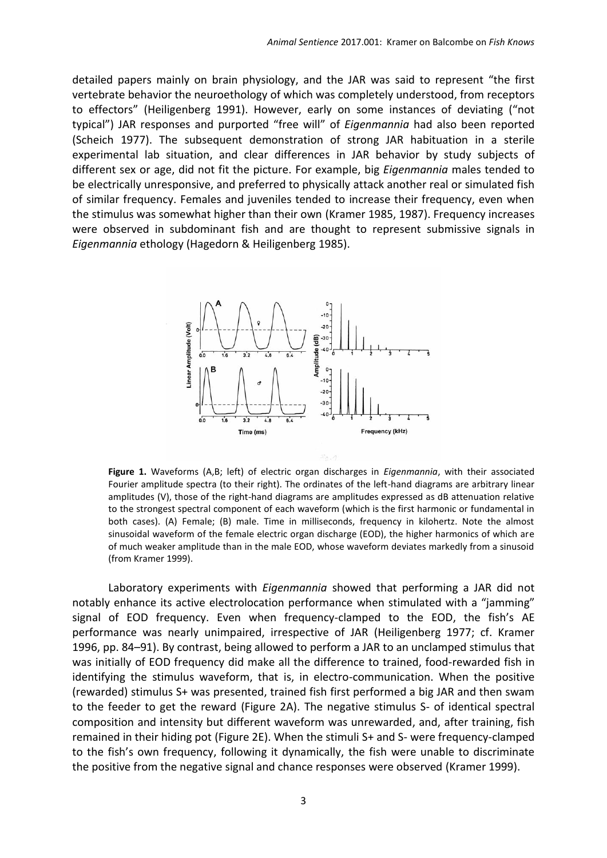detailed papers mainly on brain physiology, and the JAR was said to represent "the first vertebrate behavior the neuroethology of which was completely understood, from receptors to effectors" (Heiligenberg 1991). However, early on some instances of deviating ("not typical") JAR responses and purported "free will" of *Eigenmannia* had also been reported (Scheich 1977). The subsequent demonstration of strong JAR habituation in a sterile experimental lab situation, and clear differences in JAR behavior by study subjects of different sex or age, did not fit the picture. For example, big *Eigenmannia* males tended to be electrically unresponsive, and preferred to physically attack another real or simulated fish of similar frequency. Females and juveniles tended to increase their frequency, even when the stimulus was somewhat higher than their own (Kramer 1985, 1987). Frequency increases were observed in subdominant fish and are thought to represent submissive signals in *Eigenmannia* ethology (Hagedorn & Heiligenberg 1985).



**Figure 1.** Waveforms (A,B; left) of electric organ discharges in *Eigenmannia*, with their associated Fourier amplitude spectra (to their right). The ordinates of the left-hand diagrams are arbitrary linear amplitudes (V), those of the right-hand diagrams are amplitudes expressed as dB attenuation relative to the strongest spectral component of each waveform (which is the first harmonic or fundamental in both cases). (A) Female; (B) male. Time in milliseconds, frequency in kilohertz. Note the almost sinusoidal waveform of the female electric organ discharge (EOD), the higher harmonics of which are of much weaker amplitude than in the male EOD, whose waveform deviates markedly from a sinusoid (from Kramer 1999).

Laboratory experiments with *Eigenmannia* showed that performing a JAR did not notably enhance its active electrolocation performance when stimulated with a "jamming" signal of EOD frequency. Even when frequency-clamped to the EOD, the fish's AE performance was nearly unimpaired, irrespective of JAR (Heiligenberg 1977; cf. Kramer 1996, pp. 84–91). By contrast, being allowed to perform a JAR to an unclamped stimulus that was initially of EOD frequency did make all the difference to trained, food-rewarded fish in identifying the stimulus waveform, that is, in electro-communication. When the positive (rewarded) stimulus S+ was presented, trained fish first performed a big JAR and then swam to the feeder to get the reward (Figure 2A). The negative stimulus S- of identical spectral composition and intensity but different waveform was unrewarded, and, after training, fish remained in their hiding pot (Figure 2E). When the stimuli S+ and S- were frequency-clamped to the fish's own frequency, following it dynamically, the fish were unable to discriminate the positive from the negative signal and chance responses were observed (Kramer 1999).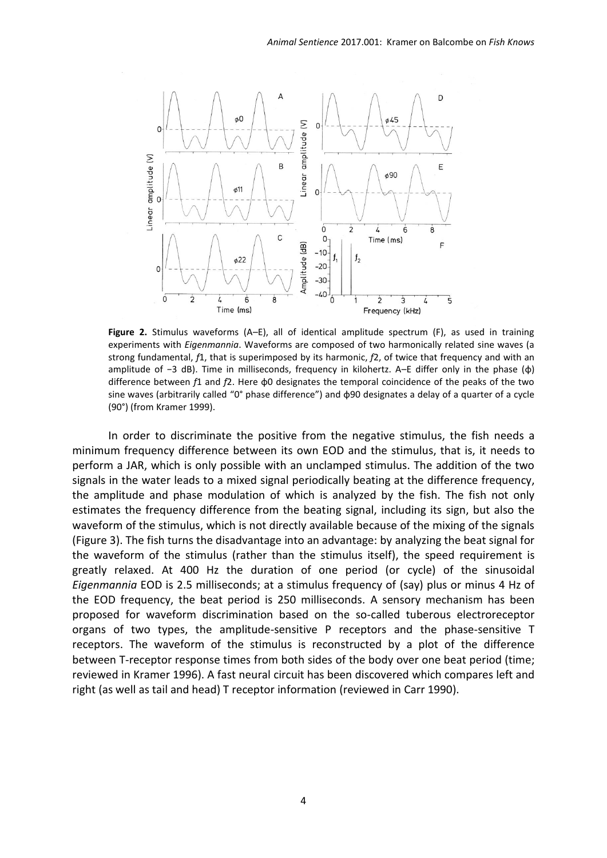

**Figure 2.** Stimulus waveforms (A–E), all of identical amplitude spectrum (F), as used in training experiments with *Eigenmannia*. Waveforms are composed of two harmonically related sine waves (a strong fundamental, *f*1, that is superimposed by its harmonic, *f*2, of twice that frequency and with an amplitude of -3 dB). Time in milliseconds, frequency in kilohertz. A–E differ only in the phase (φ) difference between *f*1 and *f*2. Here φ0 designates the temporal coincidence of the peaks of the two sine waves (arbitrarily called "0° phase difference") and φ90 designates a delay of a quarter of a cycle (90°) (from Kramer 1999).

In order to discriminate the positive from the negative stimulus, the fish needs a minimum frequency difference between its own EOD and the stimulus, that is, it needs to perform a JAR, which is only possible with an unclamped stimulus. The addition of the two signals in the water leads to a mixed signal periodically beating at the difference frequency, the amplitude and phase modulation of which is analyzed by the fish. The fish not only estimates the frequency difference from the beating signal, including its sign, but also the waveform of the stimulus, which is not directly available because of the mixing of the signals (Figure 3). The fish turns the disadvantage into an advantage: by analyzing the beat signal for the waveform of the stimulus (rather than the stimulus itself), the speed requirement is greatly relaxed. At 400 Hz the duration of one period (or cycle) of the sinusoidal *Eigenmannia* EOD is 2.5 milliseconds; at a stimulus frequency of (say) plus or minus 4 Hz of the EOD frequency, the beat period is 250 milliseconds. A sensory mechanism has been proposed for waveform discrimination based on the so-called tuberous electroreceptor organs of two types, the amplitude-sensitive P receptors and the phase-sensitive T receptors. The waveform of the stimulus is reconstructed by a plot of the difference between T-receptor response times from both sides of the body over one beat period (time; reviewed in Kramer 1996). A fast neural circuit has been discovered which compares left and right (as well as tail and head) T receptor information (reviewed in Carr 1990).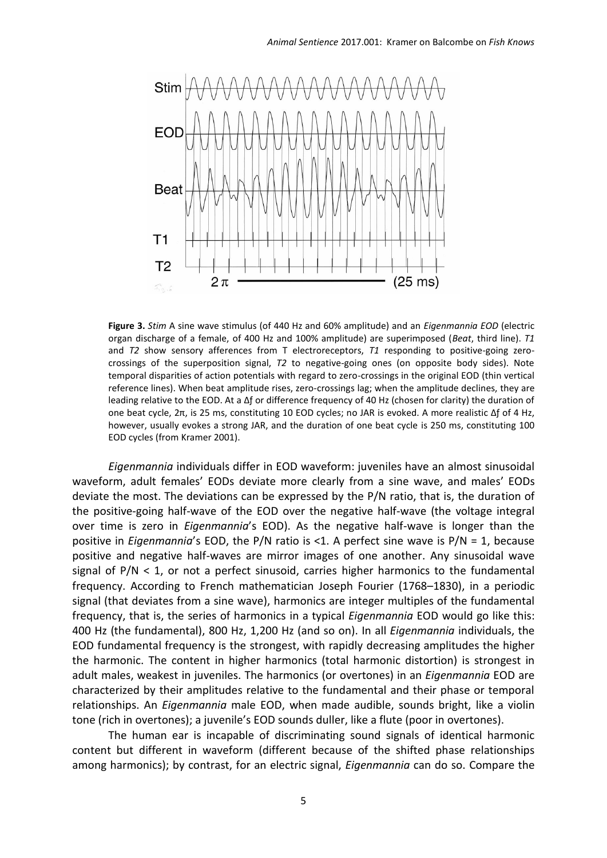

**Figure 3.** *Stim* A sine wave stimulus (of 440 Hz and 60% amplitude) and an *Eigenmannia EOD* (electric organ discharge of a female, of 400 Hz and 100% amplitude) are superimposed (*Beat*, third line). *T1*  and *T2* show sensory afferences from T electroreceptors, *T1* responding to positive-going zerocrossings of the superposition signal, *T2* to negative-going ones (on opposite body sides). Note temporal disparities of action potentials with regard to zero-crossings in the original EOD (thin vertical reference lines). When beat amplitude rises, zero-crossings lag; when the amplitude declines, they are leading relative to the EOD. At a Δƒ or difference frequency of 40 Hz (chosen for clarity) the duration of one beat cycle, 2π, is 25 ms, constituting 10 EOD cycles; no JAR is evoked. A more realistic Δƒ of 4 Hz, however, usually evokes a strong JAR, and the duration of one beat cycle is 250 ms, constituting 100 EOD cycles (from Kramer 2001).

*Eigenmannia* individuals differ in EOD waveform: juveniles have an almost sinusoidal waveform, adult females' EODs deviate more clearly from a sine wave, and males' EODs deviate the most. The deviations can be expressed by the P/N ratio, that is, the duration of the positive-going half-wave of the EOD over the negative half-wave (the voltage integral over time is zero in *Eigenmannia*'s EOD). As the negative half-wave is longer than the positive in *Eigenmannia*'s EOD, the P/N ratio is <1. A perfect sine wave is P/N = 1, because positive and negative half-waves are mirror images of one another. Any sinusoidal wave signal of  $P/N < 1$ , or not a perfect sinusoid, carries higher harmonics to the fundamental frequency. According to French mathematician Joseph Fourier (1768–1830), in a periodic signal (that deviates from a sine wave), harmonics are integer multiples of the fundamental frequency, that is, the series of harmonics in a typical *Eigenmannia* EOD would go like this: 400 Hz (the fundamental), 800 Hz, 1,200 Hz (and so on). In all *Eigenmannia* individuals, the EOD fundamental frequency is the strongest, with rapidly decreasing amplitudes the higher the harmonic. The content in higher harmonics (total harmonic distortion) is strongest in adult males, weakest in juveniles. The harmonics (or overtones) in an *Eigenmannia* EOD are characterized by their amplitudes relative to the fundamental and their phase or temporal relationships. An *Eigenmannia* male EOD, when made audible, sounds bright, like a violin tone (rich in overtones); a juvenile's EOD sounds duller, like a flute (poor in overtones).

The human ear is incapable of discriminating sound signals of identical harmonic content but different in waveform (different because of the shifted phase relationships among harmonics); by contrast, for an electric signal, *Eigenmannia* can do so. Compare the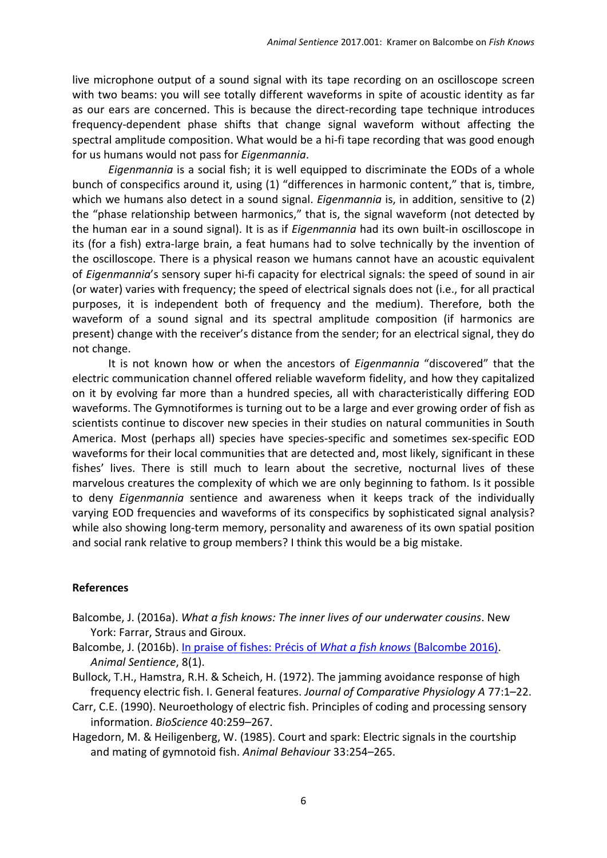live microphone output of a sound signal with its tape recording on an oscilloscope screen with two beams: you will see totally different waveforms in spite of acoustic identity as far as our ears are concerned. This is because the direct-recording tape technique introduces frequency-dependent phase shifts that change signal waveform without affecting the spectral amplitude composition. What would be a hi-fi tape recording that was good enough for us humans would not pass for *Eigenmannia*.

*Eigenmannia* is a social fish; it is well equipped to discriminate the EODs of a whole bunch of conspecifics around it, using (1) "differences in harmonic content," that is, timbre, which we humans also detect in a sound signal. *Eigenmannia* is, in addition, sensitive to (2) the "phase relationship between harmonics," that is, the signal waveform (not detected by the human ear in a sound signal). It is as if *Eigenmannia* had its own built-in oscilloscope in its (for a fish) extra-large brain, a feat humans had to solve technically by the invention of the oscilloscope. There is a physical reason we humans cannot have an acoustic equivalent of *Eigenmannia*'s sensory super hi-fi capacity for electrical signals: the speed of sound in air (or water) varies with frequency; the speed of electrical signals does not (i.e., for all practical purposes, it is independent both of frequency and the medium). Therefore, both the waveform of a sound signal and its spectral amplitude composition (if harmonics are present) change with the receiver's distance from the sender; for an electrical signal, they do not change.

It is not known how or when the ancestors of *Eigenmannia* "discovered" that the electric communication channel offered reliable waveform fidelity, and how they capitalized on it by evolving far more than a hundred species, all with characteristically differing EOD waveforms. The Gymnotiformes is turning out to be a large and ever growing order of fish as scientists continue to discover new species in their studies on natural communities in South America. Most (perhaps all) species have species-specific and sometimes sex-specific EOD waveforms for their local communities that are detected and, most likely, significant in these fishes' lives. There is still much to learn about the secretive, nocturnal lives of these marvelous creatures the complexity of which we are only beginning to fathom. Is it possible to deny *Eigenmannia* sentience and awareness when it keeps track of the individually varying EOD frequencies and waveforms of its conspecifics by sophisticated signal analysis? while also showing long-term memory, personality and awareness of its own spatial position and social rank relative to group members? I think this would be a big mistake.

## **References**

- Balcombe, J. (2016a). *What a fish knows: The inner lives of our underwater cousins*. New York: Farrar, Straus and Giroux.
- Balcombe, J. (2016b). [In praise of fishes: Précis of](http://animalstudiesrepository.org/animsent/vol1/iss8/1) *What a fish knows* (Balcombe 2016). *Animal Sentience*, 8(1).
- Bullock, T.H., Hamstra, R.H. & Scheich, H. (1972). The jamming avoidance response of high frequency electric fish. I. General features. *Journal of Comparative Physiology A* 77:1–22.
- Carr, C.E. (1990). Neuroethology of electric fish. Principles of coding and processing sensory information. *BioScience* 40:259–267.
- Hagedorn, M. & Heiligenberg, W. (1985). Court and spark: Electric signals in the courtship and mating of gymnotoid fish. *Animal Behaviour* 33:254–265.